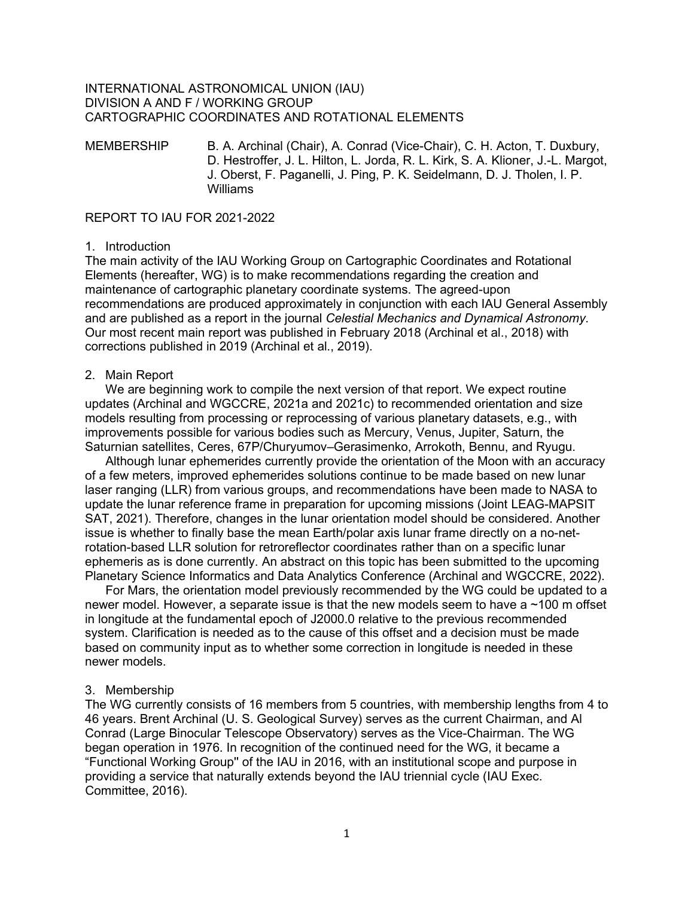### INTERNATIONAL ASTRONOMICAL UNION (IAU) DIVISION A AND F / WORKING GROUP CARTOGRAPHIC COORDINATES AND ROTATIONAL ELEMENTS

MEMBERSHIP B. A. Archinal (Chair), A. Conrad (Vice-Chair), C. H. Acton, T. Duxbury, D. Hestroffer, J. L. Hilton, L. Jorda, R. L. Kirk, S. A. Klioner, J.-L. Margot, J. Oberst, F. Paganelli, J. Ping, P. K. Seidelmann, D. J. Tholen, I. P. Williams

#### REPORT TO IAU FOR 2021-2022

### 1. Introduction

The main activity of the IAU Working Group on Cartographic Coordinates and Rotational Elements (hereafter, WG) is to make recommendations regarding the creation and maintenance of cartographic planetary coordinate systems. The agreed-upon recommendations are produced approximately in conjunction with each IAU General Assembly and are published as a report in the journal *Celestial Mechanics and Dynamical Astronomy*. Our most recent main report was published in February 2018 (Archinal et al., 2018) with corrections published in 2019 (Archinal et al., 2019).

#### 2. Main Report

We are beginning work to compile the next version of that report. We expect routine updates (Archinal and WGCCRE, 2021a and 2021c) to recommended orientation and size models resulting from processing or reprocessing of various planetary datasets, e.g., with improvements possible for various bodies such as Mercury, Venus, Jupiter, Saturn, the Saturnian satellites, Ceres, 67P/Churyumov–Gerasimenko, Arrokoth, Bennu, and Ryugu.

Although lunar ephemerides currently provide the orientation of the Moon with an accuracy of a few meters, improved ephemerides solutions continue to be made based on new lunar laser ranging (LLR) from various groups, and recommendations have been made to NASA to update the lunar reference frame in preparation for upcoming missions (Joint LEAG-MAPSIT SAT, 2021). Therefore, changes in the lunar orientation model should be considered. Another issue is whether to finally base the mean Earth/polar axis lunar frame directly on a no-netrotation-based LLR solution for retroreflector coordinates rather than on a specific lunar ephemeris as is done currently. An abstract on this topic has been submitted to the upcoming Planetary Science Informatics and Data Analytics Conference (Archinal and WGCCRE, 2022).

For Mars, the orientation model previously recommended by the WG could be updated to a newer model. However, a separate issue is that the new models seem to have a ~100 m offset in longitude at the fundamental epoch of J2000.0 relative to the previous recommended system. Clarification is needed as to the cause of this offset and a decision must be made based on community input as to whether some correction in longitude is needed in these newer models.

#### 3. Membership

The WG currently consists of 16 members from 5 countries, with membership lengths from 4 to 46 years. Brent Archinal (U. S. Geological Survey) serves as the current Chairman, and Al Conrad (Large Binocular Telescope Observatory) serves as the Vice-Chairman. The WG began operation in 1976. In recognition of the continued need for the WG, it became a "Functional Working Group'' of the IAU in 2016, with an institutional scope and purpose in providing a service that naturally extends beyond the IAU triennial cycle (IAU Exec. Committee, 2016).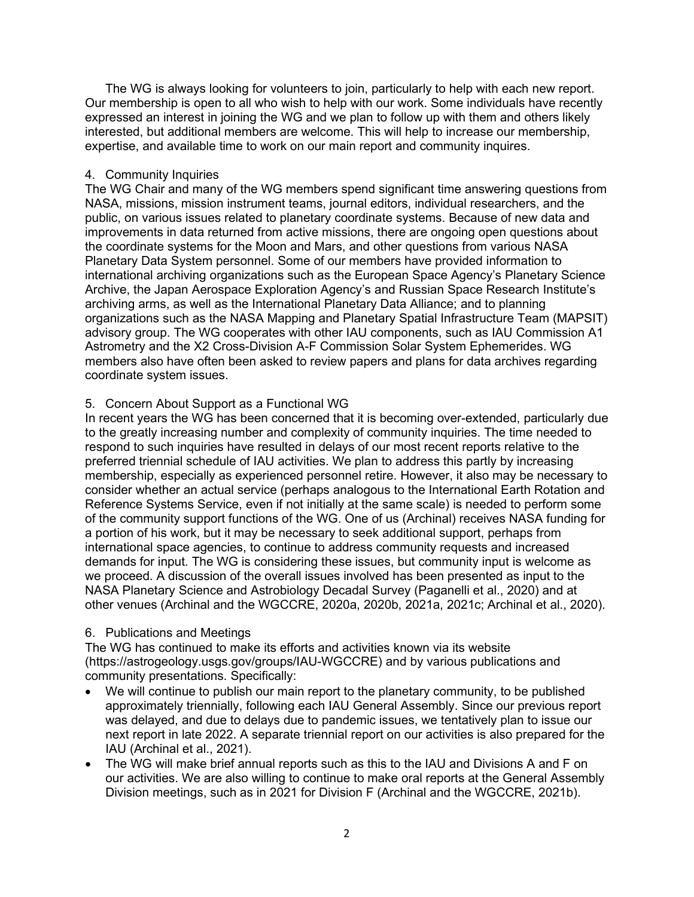The WG is always looking for volunteers to join, particularly to help with each new report. Our membership is open to all who wish to help with our work. Some individuals have recently expressed an interest in joining the WG and we plan to follow up with them and others likely interested, but additional members are welcome. This will help to increase our membership, expertise, and available time to work on our main report and community inquires.

## 4. Community Inquiries

The WG Chair and many of the WG members spend significant time answering questions from NASA, missions, mission instrument teams, journal editors, individual researchers, and the public, on various issues related to planetary coordinate systems. Because of new data and improvements in data returned from active missions, there are ongoing open questions about the coordinate systems for the Moon and Mars, and other questions from various NASA Planetary Data System personnel. Some of our members have provided information to international archiving organizations such as the European Space Agency's Planetary Science Archive, the Japan Aerospace Exploration Agency's and Russian Space Research Institute's archiving arms, as well as the International Planetary Data Alliance; and to planning organizations such as the NASA Mapping and Planetary Spatial Infrastructure Team (MAPSIT) advisory group. The WG cooperates with other IAU components, such as IAU Commission A1 Astrometry and the X2 Cross-Division A-F Commission Solar System Ephemerides. WG members also have often been asked to review papers and plans for data archives regarding coordinate system issues.

# 5. Concern About Support as a Functional WG

In recent years the WG has been concerned that it is becoming over-extended, particularly due to the greatly increasing number and complexity of community inquiries. The time needed to respond to such inquiries have resulted in delays of our most recent reports relative to the preferred triennial schedule of IAU activities. We plan to address this partly by increasing membership, especially as experienced personnel retire. However, it also may be necessary to consider whether an actual service (perhaps analogous to the International Earth Rotation and Reference Systems Service, even if not initially at the same scale) is needed to perform some of the community support functions of the WG. One of us (Archinal) receives NASA funding for a portion of his work, but it may be necessary to seek additional support, perhaps from international space agencies, to continue to address community requests and increased demands for input. The WG is considering these issues, but community input is welcome as we proceed. A discussion of the overall issues involved has been presented as input to the NASA Planetary Science and Astrobiology Decadal Survey (Paganelli et al., 2020) and at other venues (Archinal and the WGCCRE, 2020a, 2020b, 2021a, 2021c; Archinal et al., 2020).

# 6. Publications and Meetings

The WG has continued to make its efforts and activities known via its website (https://astrogeology.usgs.gov/groups/IAU-WGCCRE) and by various publications and community presentations. Specifically:

- We will continue to publish our main report to the planetary community, to be published approximately triennially, following each IAU General Assembly. Since our previous report was delayed, and due to delays due to pandemic issues, we tentatively plan to issue our next report in late 2022. A separate triennial report on our activities is also prepared for the IAU (Archinal et al., 2021).
- The WG will make brief annual reports such as this to the IAU and Divisions A and F on our activities. We are also willing to continue to make oral reports at the General Assembly Division meetings, such as in 2021 for Division F (Archinal and the WGCCRE, 2021b).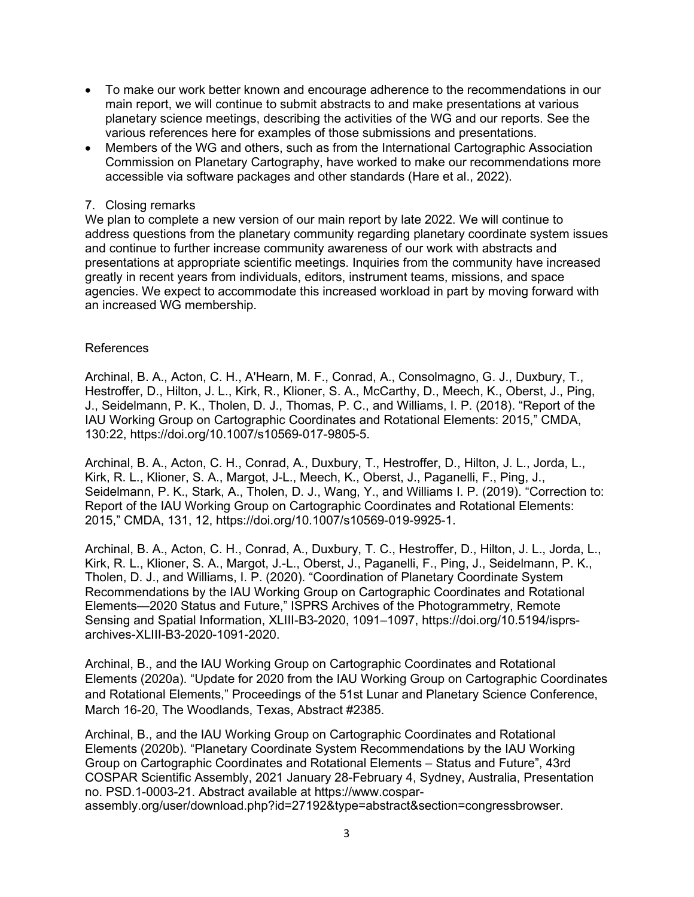- To make our work better known and encourage adherence to the recommendations in our main report, we will continue to submit abstracts to and make presentations at various planetary science meetings, describing the activities of the WG and our reports. See the various references here for examples of those submissions and presentations.
- Members of the WG and others, such as from the International Cartographic Association Commission on Planetary Cartography, have worked to make our recommendations more accessible via software packages and other standards (Hare et al., 2022).

## 7. Closing remarks

We plan to complete a new version of our main report by late 2022. We will continue to address questions from the planetary community regarding planetary coordinate system issues and continue to further increase community awareness of our work with abstracts and presentations at appropriate scientific meetings. Inquiries from the community have increased greatly in recent years from individuals, editors, instrument teams, missions, and space agencies. We expect to accommodate this increased workload in part by moving forward with an increased WG membership.

## References

Archinal, B. A., Acton, C. H., A'Hearn, M. F., Conrad, A., Consolmagno, G. J., Duxbury, T., Hestroffer, D., Hilton, J. L., Kirk, R., Klioner, S. A., McCarthy, D., Meech, K., Oberst, J., Ping, J., Seidelmann, P. K., Tholen, D. J., Thomas, P. C., and Williams, I. P. (2018). "Report of the IAU Working Group on Cartographic Coordinates and Rotational Elements: 2015," CMDA, 130:22, https://doi.org/10.1007/s10569-017-9805-5.

Archinal, B. A., Acton, C. H., Conrad, A., Duxbury, T., Hestroffer, D., Hilton, J. L., Jorda, L., Kirk, R. L., Klioner, S. A., Margot, J-L., Meech, K., Oberst, J., Paganelli, F., Ping, J., Seidelmann, P. K., Stark, A., Tholen, D. J., Wang, Y., and Williams I. P. (2019). "Correction to: Report of the IAU Working Group on Cartographic Coordinates and Rotational Elements: 2015," CMDA, 131, 12, https://doi.org/10.1007/s10569-019-9925-1.

Archinal, B. A., Acton, C. H., Conrad, A., Duxbury, T. C., Hestroffer, D., Hilton, J. L., Jorda, L., Kirk, R. L., Klioner, S. A., Margot, J.-L., Oberst, J., Paganelli, F., Ping, J., Seidelmann, P. K., Tholen, D. J., and Williams, I. P. (2020). "Coordination of Planetary Coordinate System Recommendations by the IAU Working Group on Cartographic Coordinates and Rotational Elements—2020 Status and Future," ISPRS Archives of the Photogrammetry, Remote Sensing and Spatial Information, XLIII-B3-2020, 1091–1097, https://doi.org/10.5194/isprsarchives-XLIII-B3-2020-1091-2020.

Archinal, B., and the IAU Working Group on Cartographic Coordinates and Rotational Elements (2020a). "Update for 2020 from the IAU Working Group on Cartographic Coordinates and Rotational Elements," Proceedings of the 51st Lunar and Planetary Science Conference, March 16-20, The Woodlands, Texas, Abstract #2385.

Archinal, B., and the IAU Working Group on Cartographic Coordinates and Rotational Elements (2020b). "Planetary Coordinate System Recommendations by the IAU Working Group on Cartographic Coordinates and Rotational Elements – Status and Future", 43rd COSPAR Scientific Assembly, 2021 January 28-February 4, Sydney, Australia, Presentation no. PSD.1-0003-21. Abstract available at https://www.cosparassembly.org/user/download.php?id=27192&type=abstract&section=congressbrowser.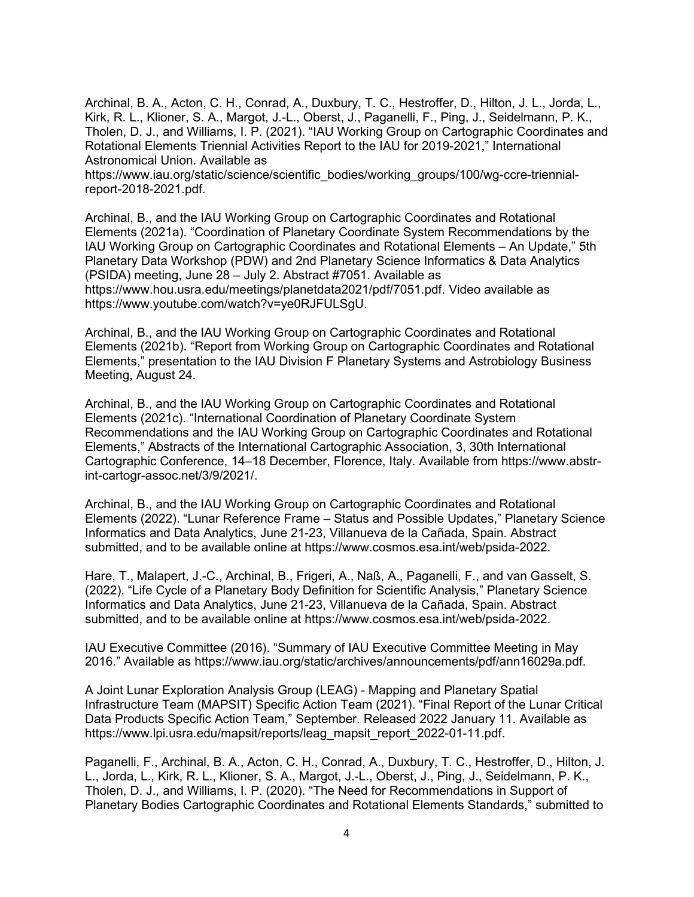Archinal, B. A., Acton, C. H., Conrad, A., Duxbury, T. C., Hestroffer, D., Hilton, J. L., Jorda, L., Kirk, R. L., Klioner, S. A., Margot, J.-L., Oberst, J., Paganelli, F., Ping, J., Seidelmann, P. K., Tholen, D. J., and Williams, I. P. (2021). "IAU Working Group on Cartographic Coordinates and Rotational Elements Triennial Activities Report to the IAU for 2019-2021," International Astronomical Union. Available as

https://www.iau.org/static/science/scientific\_bodies/working\_groups/100/wg-ccre-triennialreport-2018-2021.pdf.

Archinal, B., and the IAU Working Group on Cartographic Coordinates and Rotational Elements (2021a). "Coordination of Planetary Coordinate System Recommendations by the IAU Working Group on Cartographic Coordinates and Rotational Elements – An Update," 5th Planetary Data Workshop (PDW) and 2nd Planetary Science Informatics & Data Analytics (PSIDA) meeting, June 28 – July 2. Abstract #7051. Available as https://www.hou.usra.edu/meetings/planetdata2021/pdf/7051.pdf. Video available as https://www.youtube.com/watch?v=ye0RJFULSgU.

Archinal, B., and the IAU Working Group on Cartographic Coordinates and Rotational Elements (2021b). "Report from Working Group on Cartographic Coordinates and Rotational Elements," presentation to the IAU Division F Planetary Systems and Astrobiology Business Meeting, August 24.

Archinal, B., and the IAU Working Group on Cartographic Coordinates and Rotational Elements (2021c). "International Coordination of Planetary Coordinate System Recommendations and the IAU Working Group on Cartographic Coordinates and Rotational Elements," Abstracts of the International Cartographic Association, 3, 30th International Cartographic Conference, 14–18 December, Florence, Italy. Available from https://www.abstrint-cartogr-assoc.net/3/9/2021/.

Archinal, B., and the IAU Working Group on Cartographic Coordinates and Rotational Elements (2022). "Lunar Reference Frame – Status and Possible Updates," Planetary Science Informatics and Data Analytics, June 21-23, Villanueva de la Cañada, Spain. Abstract submitted, and to be available online at https://www.cosmos.esa.int/web/psida-2022.

Hare, T., Malapert, J.-C., Archinal, B., Frigeri, A., Naß, A., Paganelli, F., and van Gasselt, S. (2022). "Life Cycle of a Planetary Body Definition for Scientific Analysis," Planetary Science Informatics and Data Analytics, June 21-23, Villanueva de la Cañada, Spain. Abstract submitted, and to be available online at https://www.cosmos.esa.int/web/psida-2022.

IAU Executive Committee (2016). "Summary of IAU Executive Committee Meeting in May 2016." Available as https://www.iau.org/static/archives/announcements/pdf/ann16029a.pdf.

A Joint Lunar Exploration Analysis Group (LEAG) - Mapping and Planetary Spatial Infrastructure Team (MAPSIT) Specific Action Team (2021). "Final Report of the Lunar Critical Data Products Specific Action Team," September. Released 2022 January 11. Available as https://www.lpi.usra.edu/mapsit/reports/leag\_mapsit\_report\_2022-01-11.pdf.

Paganelli, F., Archinal, B. A., Acton, C. H., Conrad, A., Duxbury, T. C., Hestroffer, D., Hilton, J. L., Jorda, L., Kirk, R. L., Klioner, S. A., Margot, J.-L., Oberst, J., Ping, J., Seidelmann, P. K., Tholen, D. J., and Williams, I. P. (2020). "The Need for Recommendations in Support of Planetary Bodies Cartographic Coordinates and Rotational Elements Standards," submitted to